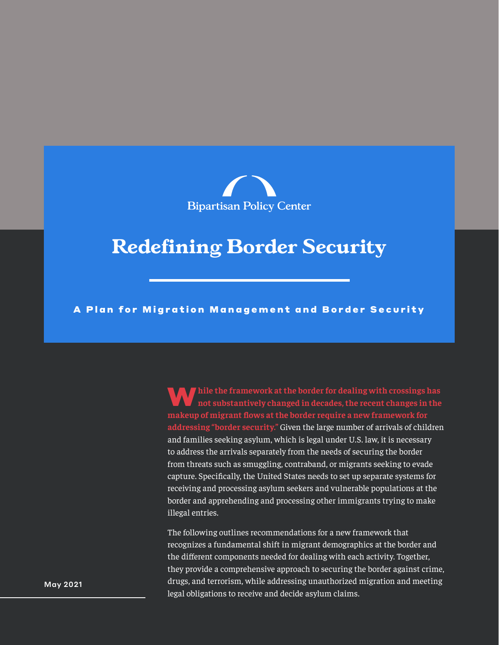

### **Redefining Border Security**

A Plan for Migration Management and Border Security

W**hile the framework at the border for dealing with crossings has not substantively changed in decades, the recent changes in the makeup of migrant flows at the border require a new framework for addressing "border security."** Given the large number of arrivals of children and families seeking asylum, which is legal under U.S. law, it is necessary to address the arrivals separately from the needs of securing the border from threats such as smuggling, contraband, or migrants seeking to evade capture. Specifically, the United States needs to set up separate systems for receiving and processing asylum seekers and vulnerable populations at the border and apprehending and processing other immigrants trying to make illegal entries.

The following outlines recommendations for a new framework that recognizes a fundamental shift in migrant demographics at the border and the different components needed for dealing with each activity. Together, they provide a comprehensive approach to securing the border against crime, drugs, and terrorism, while addressing unauthorized migration and meeting legal obligations to receive and decide asylum claims.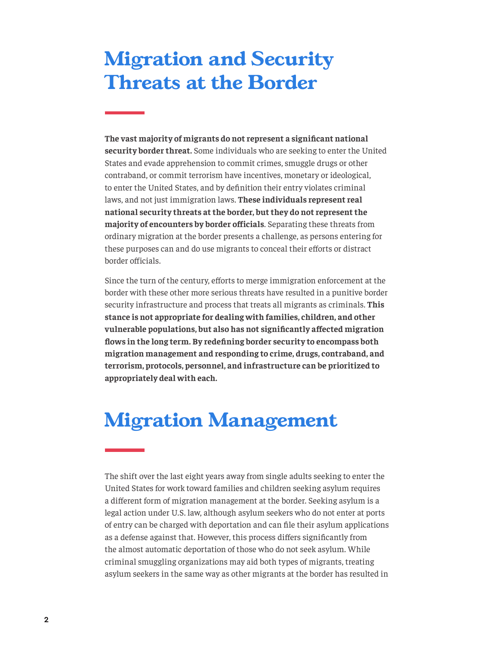# **Migration and Security Threats at the Border**

**The vast majority of migrants do not represent a significant national security border threat.** Some individuals who are seeking to enter the United States and evade apprehension to commit crimes, smuggle drugs or other contraband, or commit terrorism have incentives, monetary or ideological, to enter the United States, and by definition their entry violates criminal laws, and not just immigration laws. **These individuals represent real national security threats at the border, but they do not represent the majority of encounters by border officials**. Separating these threats from ordinary migration at the border presents a challenge, as persons entering for these purposes can and do use migrants to conceal their efforts or distract border officials.

Since the turn of the century, efforts to merge immigration enforcement at the border with these other more serious threats have resulted in a punitive border security infrastructure and process that treats all migrants as criminals. **This stance is not appropriate for dealing with families, children, and other vulnerable populations, but also has not significantly affected migration flows in the long term. By redefining border security to encompass both migration management and responding to crime, drugs, contraband, and terrorism, protocols, personnel, and infrastructure can be prioritized to appropriately deal with each.**

## **Migration Management**

The shift over the last eight years away from single adults seeking to enter the United States for work toward families and children seeking asylum requires a different form of migration management at the border. Seeking asylum is a legal action under U.S. law, although asylum seekers who do not enter at ports of entry can be charged with deportation and can file their asylum applications as a defense against that. However, this process differs significantly from the almost automatic deportation of those who do not seek asylum. While criminal smuggling organizations may aid both types of migrants, treating asylum seekers in the same way as other migrants at the border has resulted in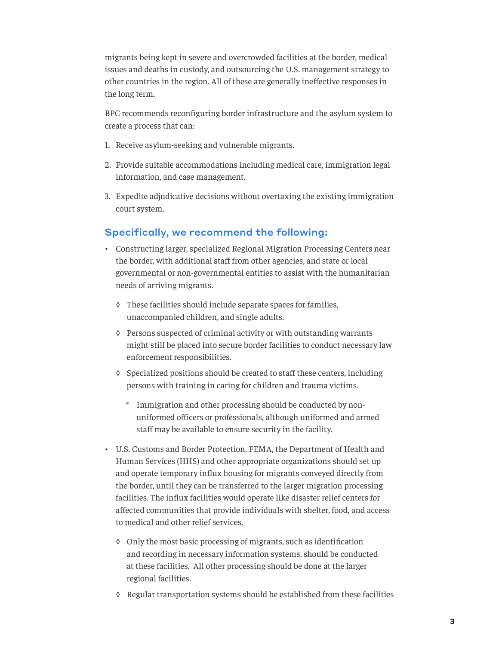migrants being kept in severe and overcrowded facilities at the border, medical issues and deaths in custody, and outsourcing the U.S. management strategy to other countries in the region. All of these are generally ineffective responses in the long term.

BPC recommends reconfiguring border infrastructure and the asylum system to create a process that can:

- 1. Receive asylum-seeking and vulnerable migrants.
- 2. Provide suitable accommodations including medical care, immigration legal information, and case management.
- 3. Expedite adjudicative decisions without overtaxing the existing immigration court system.

### Specifically, we recommend the following:

- Constructing larger, specialized Regional Migration Processing Centers near the border, with additional staff from other agencies, and state or local governmental or non-governmental entities to assist with the humanitarian needs of arriving migrants.
	- ◊ These facilities should include separate spaces for families, unaccompanied children, and single adults.
	- ◊ Persons suspected of criminal activity or with outstanding warrants might still be placed into secure border facilities to conduct necessary law enforcement responsibilities.
	- ◊ Specialized positions should be created to staff these centers, including persons with training in caring for children and trauma victims.
		- \* Immigration and other processing should be conducted by nonuniformed officers or professionals, although uniformed and armed staff may be available to ensure security in the facility.
- U.S. Customs and Border Protection, FEMA, the Department of Health and Human Services (HHS) and other appropriate organizations should set up and operate temporary influx housing for migrants conveyed directly from the border, until they can be transferred to the larger migration processing facilities. The influx facilities would operate like disaster relief centers for affected communities that provide individuals with shelter, food, and access to medical and other relief services.
	- ◊ Only the most basic processing of migrants, such as identification and recording in necessary information systems, should be conducted at these facilities. All other processing should be done at the larger regional facilities.
	- ◊ Regular transportation systems should be established from these facilities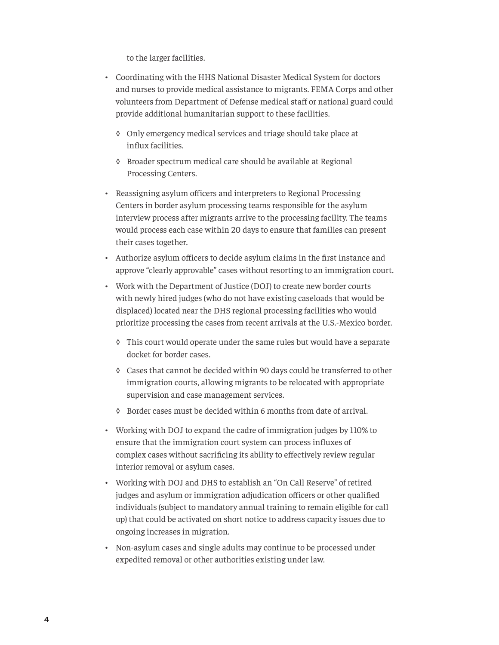to the larger facilities.

- Coordinating with the HHS National Disaster Medical System for doctors and nurses to provide medical assistance to migrants. FEMA Corps and other volunteers from Department of Defense medical staff or national guard could provide additional humanitarian support to these facilities.
	- ◊ Only emergency medical services and triage should take place at influx facilities.
	- ◊ Broader spectrum medical care should be available at Regional Processing Centers.
- Reassigning asylum officers and interpreters to Regional Processing Centers in border asylum processing teams responsible for the asylum interview process after migrants arrive to the processing facility. The teams would process each case within 20 days to ensure that families can present their cases together.
- Authorize asylum officers to decide asylum claims in the first instance and approve "clearly approvable" cases without resorting to an immigration court.
- Work with the Department of Justice (DOJ) to create new border courts with newly hired judges (who do not have existing caseloads that would be displaced) located near the DHS regional processing facilities who would prioritize processing the cases from recent arrivals at the U.S.-Mexico border.
	- ◊ This court would operate under the same rules but would have a separate docket for border cases.
	- ◊ Cases that cannot be decided within 90 days could be transferred to other immigration courts, allowing migrants to be relocated with appropriate supervision and case management services.
	- ◊ Border cases must be decided within 6 months from date of arrival.
- Working with DOJ to expand the cadre of immigration judges by 110% to ensure that the immigration court system can process influxes of complex cases without sacrificing its ability to effectively review regular interior removal or asylum cases.
- Working with DOJ and DHS to establish an "On Call Reserve" of retired judges and asylum or immigration adjudication officers or other qualified individuals (subject to mandatory annual training to remain eligible for call up) that could be activated on short notice to address capacity issues due to ongoing increases in migration.
- Non-asylum cases and single adults may continue to be processed under expedited removal or other authorities existing under law.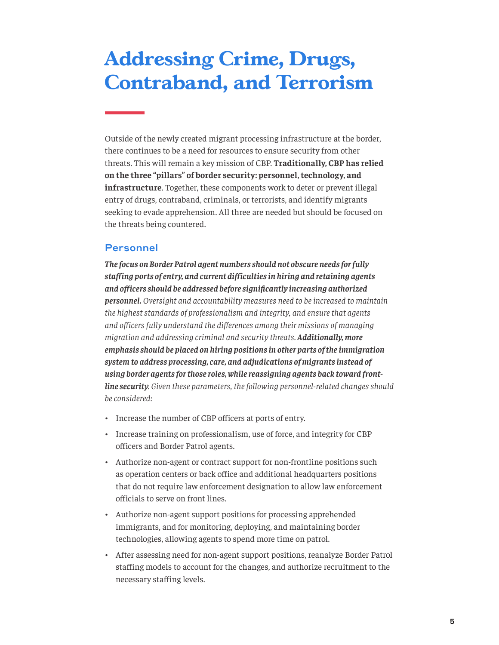# **Addressing Crime, Drugs, Contraband, and Terrorism**

Outside of the newly created migrant processing infrastructure at the border, there continues to be a need for resources to ensure security from other threats. This will remain a key mission of CBP. **Traditionally, CBP has relied on the three "pillars" of border security: personnel, technology, and infrastructure**. Together, these components work to deter or prevent illegal entry of drugs, contraband, criminals, or terrorists, and identify migrants seeking to evade apprehension. All three are needed but should be focused on the threats being countered.

#### Personnel

*The focus on Border Patrol agent numbers should not obscure needs for fully staffing ports of entry, and current difficulties in hiring and retaining agents and officers should be addressed before significantly increasing authorized personnel. Oversight and accountability measures need to be increased to maintain the highest standards of professionalism and integrity, and ensure that agents and officers fully understand the differences among their missions of managing migration and addressing criminal and security threats. Additionally, more emphasis should be placed on hiring positions in other parts of the immigration system to address processing, care, and adjudications of migrants instead of using border agents for those roles, while reassigning agents back toward frontline security. Given these parameters, the following personnel-related changes should be considered:* 

- Increase the number of CBP officers at ports of entry.
- Increase training on professionalism, use of force, and integrity for CBP officers and Border Patrol agents.
- Authorize non-agent or contract support for non-frontline positions such as operation centers or back office and additional headquarters positions that do not require law enforcement designation to allow law enforcement officials to serve on front lines.
- Authorize non-agent support positions for processing apprehended immigrants, and for monitoring, deploying, and maintaining border technologies, allowing agents to spend more time on patrol.
- After assessing need for non-agent support positions, reanalyze Border Patrol staffing models to account for the changes, and authorize recruitment to the necessary staffing levels.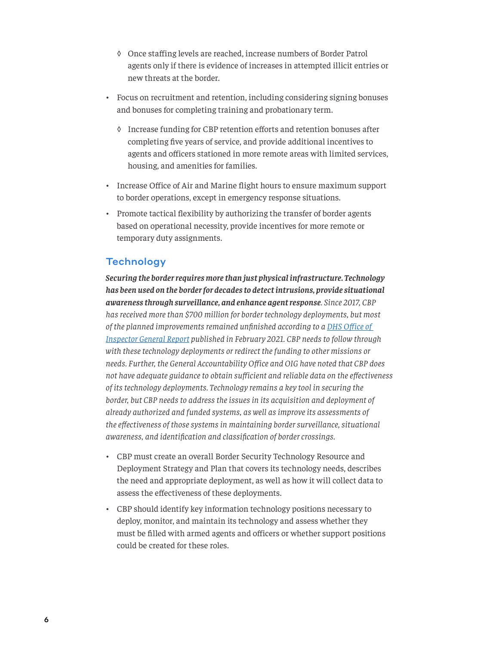- ◊ Once staffing levels are reached, increase numbers of Border Patrol agents only if there is evidence of increases in attempted illicit entries or new threats at the border.
- Focus on recruitment and retention, including considering signing bonuses and bonuses for completing training and probationary term.
	- ◊ Increase funding for CBP retention efforts and retention bonuses after completing five years of service, and provide additional incentives to agents and officers stationed in more remote areas with limited services, housing, and amenities for families.
- Increase Office of Air and Marine flight hours to ensure maximum support to border operations, except in emergency response situations.
- Promote tactical flexibility by authorizing the transfer of border agents based on operational necessity, provide incentives for more remote or temporary duty assignments.

### **Technology**

*Securing the border requires more than just physical infrastructure. Technology has been used on the border for decades to detect intrusions, provide situational awareness through surveillance, and enhance agent response. Since 2017, CBP has received more than \$700 million for border technology deployments, but most of the planned improvements remained unfinished according to a [DHS Office of](https://www.oig.dhs.gov/sites/default/files/assets/2021-02/OIG-21-21-Feb21.pdf)  [Inspector General Report](https://www.oig.dhs.gov/sites/default/files/assets/2021-02/OIG-21-21-Feb21.pdf) published in February 2021. CBP needs to follow through with these technology deployments or redirect the funding to other missions or needs. Further, the General Accountability Office and OIG have noted that CBP does not have adequate guidance to obtain sufficient and reliable data on the effectiveness of its technology deployments. Technology remains a key tool in securing the border, but CBP needs to address the issues in its acquisition and deployment of already authorized and funded systems, as well as improve its assessments of the effectiveness of those systems in maintaining border surveillance, situational awareness, and identification and classification of border crossings.* 

- CBP must create an overall Border Security Technology Resource and Deployment Strategy and Plan that covers its technology needs, describes the need and appropriate deployment, as well as how it will collect data to assess the effectiveness of these deployments.
- CBP should identify key information technology positions necessary to deploy, monitor, and maintain its technology and assess whether they must be filled with armed agents and officers or whether support positions could be created for these roles.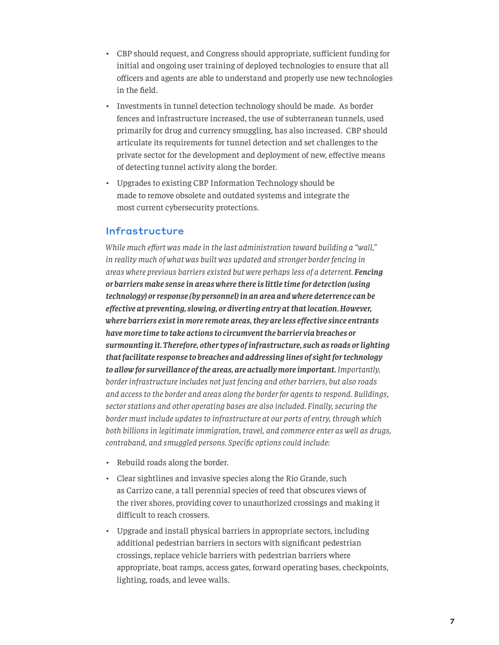- CBP should request, and Congress should appropriate, sufficient funding for initial and ongoing user training of deployed technologies to ensure that all officers and agents are able to understand and properly use new technologies in the field.
- Investments in tunnel detection technology should be made. As border fences and infrastructure increased, the use of subterranean tunnels, used primarily for drug and currency smuggling, has also increased. CBP should articulate its requirements for tunnel detection and set challenges to the private sector for the development and deployment of new, effective means of detecting tunnel activity along the border.
- Upgrades to existing CBP Information Technology should be made to remove obsolete and outdated systems and integrate the most current cybersecurity protections.

#### Infrastructure

*While much effort was made in the last administration toward building a "wall," in reality much of what was built was updated and stronger border fencing in areas where previous barriers existed but were perhaps less of a deterrent. Fencing or barriers make sense in areas where there is little time for detection (using technology) or response (by personnel) in an area and where deterrence can be effective at preventing, slowing, or diverting entry at that location. However, where barriers exist in more remote areas, they are less effective since entrants have more time to take actions to circumvent the barrier via breaches or surmounting it. Therefore, other types of infrastructure, such as roads or lighting that facilitate response to breaches and addressing lines of sight for technology to allow for surveillance of the areas, are actually more important. Importantly, border infrastructure includes not just fencing and other barriers, but also roads and access to the border and areas along the border for agents to respond. Buildings, sector stations and other operating bases are also included. Finally, securing the border must include updates to infrastructure at our ports of entry, through which both billions in legitimate immigration, travel, and commerce enter as well as drugs, contraband, and smuggled persons. Specific options could include:* 

- Rebuild roads along the border.
- Clear sightlines and invasive species along the Rio Grande, such as Carrizo cane, a tall perennial species of reed that obscures views of the river shores, providing cover to unauthorized crossings and making it difficult to reach crossers.
- Upgrade and install physical barriers in appropriate sectors, including additional pedestrian barriers in sectors with significant pedestrian crossings, replace vehicle barriers with pedestrian barriers where appropriate, boat ramps, access gates, forward operating bases, checkpoints, lighting, roads, and levee walls.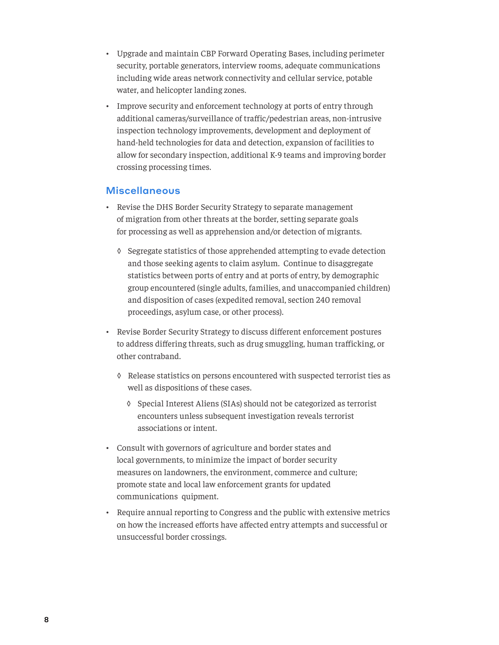- Upgrade and maintain CBP Forward Operating Bases, including perimeter security, portable generators, interview rooms, adequate communications including wide areas network connectivity and cellular service, potable water, and helicopter landing zones.
- Improve security and enforcement technology at ports of entry through additional cameras/surveillance of traffic/pedestrian areas, non-intrusive inspection technology improvements, development and deployment of hand-held technologies for data and detection, expansion of facilities to allow for secondary inspection, additional K-9 teams and improving border crossing processing times.

#### **Miscellaneous**

- Revise the DHS Border Security Strategy to separate management of migration from other threats at the border, setting separate goals for processing as well as apprehension and/or detection of migrants.
	- ◊ Segregate statistics of those apprehended attempting to evade detection and those seeking agents to claim asylum. Continue to disaggregate statistics between ports of entry and at ports of entry, by demographic group encountered (single adults, families, and unaccompanied children) and disposition of cases (expedited removal, section 240 removal proceedings, asylum case, or other process).
- Revise Border Security Strategy to discuss different enforcement postures to address differing threats, such as drug smuggling, human trafficking, or other contraband.
	- ◊ Release statistics on persons encountered with suspected terrorist ties as well as dispositions of these cases.
		- ◊ Special Interest Aliens (SIAs) should not be categorized as terrorist encounters unless subsequent investigation reveals terrorist associations or intent.
- Consult with governors of agriculture and border states and local governments, to minimize the impact of border security measures on landowners, the environment, commerce and culture; promote state and local law enforcement grants for updated communications quipment.
- Require annual reporting to Congress and the public with extensive metrics on how the increased efforts have affected entry attempts and successful or unsuccessful border crossings.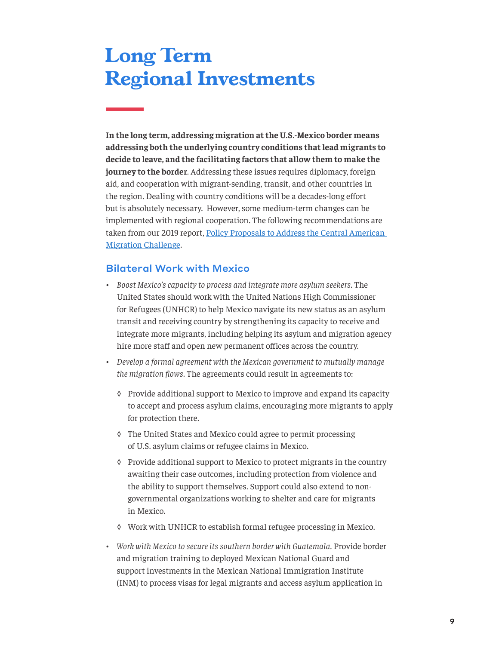# **Long Term Regional Investments**

**In the long term, addressing migration at the U.S.-Mexico border means addressing both the underlying country conditions that lead migrants to decide to leave, and the facilitating factors that allow them to make the journey to the border**. Addressing these issues requires diplomacy, foreign aid, and cooperation with migrant-sending, transit, and other countries in the region. Dealing with country conditions will be a decades-long effort but is absolutely necessary. However, some medium-term changes can be implemented with regional cooperation. The following recommendations are taken from our 2019 report, [Policy Proposals to Address the Central American](https://bipartisanpolicy.org/report/policy-proposals-to-address-the-central-american-migration-challenge/)  [Migration Challenge](https://bipartisanpolicy.org/report/policy-proposals-to-address-the-central-american-migration-challenge/).

### Bilateral Work with Mexico

- *• Boost Mexico's capacity to process and integrate more asylum seekers*. The United States should work with the United Nations High Commissioner for Refugees (UNHCR) to help Mexico navigate its new status as an asylum transit and receiving country by strengthening its capacity to receive and integrate more migrants, including helping its asylum and migration agency hire more staff and open new permanent offices across the country*.*
- *• Develop a formal agreement with the Mexican government to mutually manage the migration flows*. The agreements could result in agreements to:
	- ◊ Provide additional support to Mexico to improve and expand its capacity to accept and process asylum claims, encouraging more migrants to apply for protection there.
	- ◊ The United States and Mexico could agree to permit processing of U.S. asylum claims or refugee claims in Mexico.
	- ◊ Provide additional support to Mexico to protect migrants in the country awaiting their case outcomes, including protection from violence and the ability to support themselves. Support could also extend to nongovernmental organizations working to shelter and care for migrants in Mexico.
	- ◊ Work with UNHCR to establish formal refugee processing in Mexico.
- *• Work with Mexico to secure its southern border with Guatemala.* Provide border and migration training to deployed Mexican National Guard and support investments in the Mexican National Immigration Institute (INM) to process visas for legal migrants and access asylum application in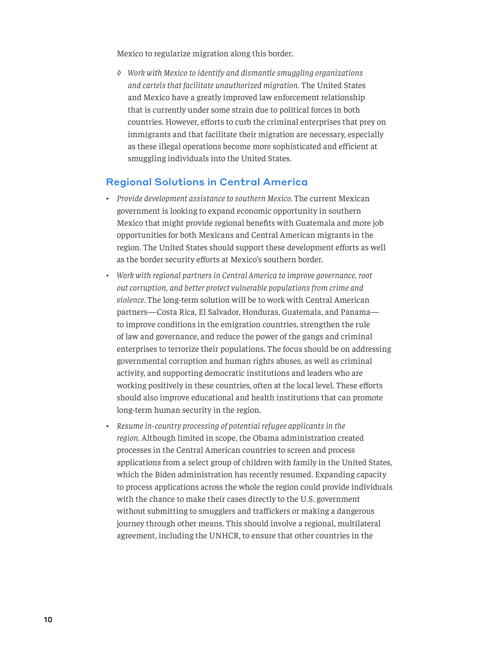Mexico to regularize migration along this border.

*◊ Work with Mexico to identify and dismantle smuggling organizations and cartels that facilitate unauthorized migration.* The United States and Mexico have a greatly improved law enforcement relationship that is currently under some strain due to political forces in both countries. However, efforts to curb the criminal enterprises that prey on immigrants and that facilitate their migration are necessary, especially as these illegal operations become more sophisticated and efficient at smuggling individuals into the United States.

#### Regional Solutions in Central America

- *• Provide development assistance to southern Mexico.* The current Mexican government is looking to expand economic opportunity in southern Mexico that might provide regional benefits with Guatemala and more job opportunities for both Mexicans and Central American migrants in the region. The United States should support these development efforts as well as the border security efforts at Mexico's southern border.
- *• Work with regional partners in Central America to improve governance, root out corruption, and better protect vulnerable populations from crime and violence.* The long-term solution will be to work with Central American partners—Costa Rica, El Salvador, Honduras, Guatemala, and Panama to improve conditions in the emigration countries, strengthen the rule of law and governance, and reduce the power of the gangs and criminal enterprises to terrorize their populations. The focus should be on addressing governmental corruption and human rights abuses, as well as criminal activity, and supporting democratic institutions and leaders who are working positively in these countries, often at the local level. These efforts should also improve educational and health institutions that can promote long-term human security in the region.
- *• Resume in-country processing of potential refugee applicants in the region.* Although limited in scope, the Obama administration created processes in the Central American countries to screen and process applications from a select group of children with family in the United States, which the Biden administration has recently resumed. Expanding capacity to process applications across the whole the region could provide individuals with the chance to make their cases directly to the U.S. government without submitting to smugglers and traffickers or making a dangerous journey through other means. This should involve a regional, multilateral agreement, including the UNHCR, to ensure that other countries in the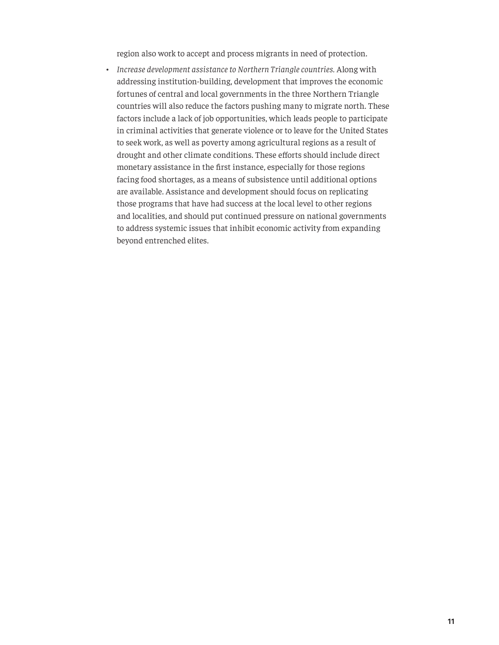region also work to accept and process migrants in need of protection.

*• Increase development assistance to Northern Triangle countries.* Along with addressing institution-building, development that improves the economic fortunes of central and local governments in the three Northern Triangle countries will also reduce the factors pushing many to migrate north. These factors include a lack of job opportunities, which leads people to participate in criminal activities that generate violence or to leave for the United States to seek work, as well as poverty among agricultural regions as a result of drought and other climate conditions. These efforts should include direct monetary assistance in the first instance, especially for those regions facing food shortages, as a means of subsistence until additional options are available. Assistance and development should focus on replicating those programs that have had success at the local level to other regions and localities, and should put continued pressure on national governments to address systemic issues that inhibit economic activity from expanding beyond entrenched elites.